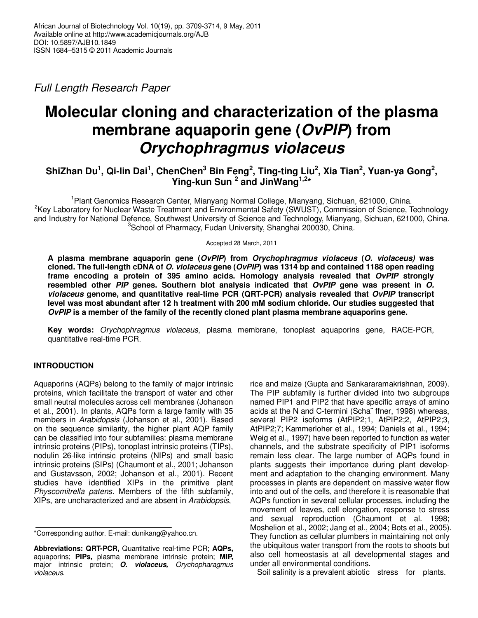Full Length Research Paper

# **Molecular cloning and characterization of the plasma membrane aquaporin gene (OvPIP) from Orychophragmus violaceus**

# **ShiZhan Du<sup>1</sup> , Qi-lin Dai<sup>1</sup> , ChenChen<sup>3</sup> Bin Feng<sup>2</sup> , Ting-ting Liu<sup>2</sup> , Xia Tian<sup>2</sup> , Yuan-ya Gong<sup>2</sup> , Ying-kun Sun <sup>2</sup> and JinWang1,2\***

<sup>1</sup>Plant Genomics Research Center, Mianyang Normal College, Mianyang, Sichuan, 621000, China. <sup>2</sup>Key Laboratory for Nuclear Waste Treatment and Environmental Safety (SWUST), Commission of Science, Technology and Industry for National Defence, Southwest University of Science and Technology, Mianyang, Sichuan, 621000, China. <sup>3</sup>School of Pharmacy, Fudan University, Shanghai 200030, China.

Accepted 28 March, 2011

**A plasma membrane aquaporin gene (OvPIP) from Orychophragmus violaceus (O. violaceus) was cloned. The full-length cDNA of O. violaceus gene (OvPIP) was 1314 bp and contained 1188 open reading frame encoding a protein of 395 amino acids. Homology analysis revealed that OvPIP strongly resembled other PIP genes. Southern blot analysis indicated that OvPIP gene was present in O. violaceus genome, and quantitative real-time PCR (QRT-PCR) analysis revealed that OvPIP transcript level was most abundant after 12 h treatment with 200 mM sodium chloride. Our studies suggested that OvPIP is a member of the family of the recently cloned plant plasma membrane aquaporins gene.** 

**Key words:** Orychophragmus violaceus, plasma membrane, tonoplast aquaporins gene, RACE-PCR, quantitative real-time PCR.

# **INTRODUCTION**

Aquaporins (AQPs) belong to the family of major intrinsic proteins, which facilitate the transport of water and other small neutral molecules across cell membranes (Johanson et al., 2001). In plants, AQPs form a large family with 35 members in Arabidopsis (Johanson et al., 2001). Based on the sequence similarity, the higher plant AQP family can be classified into four subfamilies: plasma membrane intrinsic proteins (PIPs), tonoplast intrinsic proteins (TIPs), nodulin 26-like intrinsic proteins (NIPs) and small basic intrinsic proteins (SIPs) (Chaumont et al., 2001; Johanson and Gustavsson, 2002; Johanson et al., 2001). Recent studies have identified XIPs in the primitive plant Physcomitrella patens. Members of the fifth subfamily, XIPs, are uncharacterized and are absent in Arabidopsis,

\*Corresponding author. E-mail: dunikang@yahoo.cn.

rice and maize (Gupta and Sankararamakrishnan, 2009). The PIP subfamily is further divided into two subgroups named PIP1 and PIP2 that have specific arrays of amino acids at the N and C-termini (Scha¨ ffner, 1998) whereas, several PIP2 isoforms (AtPIP2;1, AtPIP2;2, AtPIP2;3, AtPIP2;7; Kammerloher et al., 1994; Daniels et al., 1994; Weig et al., 1997) have been reported to function as water channels, and the substrate specificity of PIP1 isoforms remain less clear. The large number of AQPs found in plants suggests their importance during plant development and adaptation to the changing environment. Many processes in plants are dependent on massive water flow into and out of the cells, and therefore it is reasonable that AQPs function in several cellular processes, including the movement of leaves, cell elongation, response to stress and sexual reproduction (Chaumont et al. 1998; Moshelion et al., 2002; Jang et al., 2004; Bots et al., 2005). They function as cellular plumbers in maintaining not only the ubiquitous water transport from the roots to shoots but also cell homeostasis at all developmental stages and under all environmental conditions.

Soil salinity is a prevalent abiotic stress for plants.

**Abbreviations: QRT-PCR,** Quantitative real-time PCR; **AQPs,**  aquaporins; **PIPs,** plasma membrane intrinsic protein; **MIP,** major intrinsic protein; **O. violaceus,** Orychopharagmus violaceus.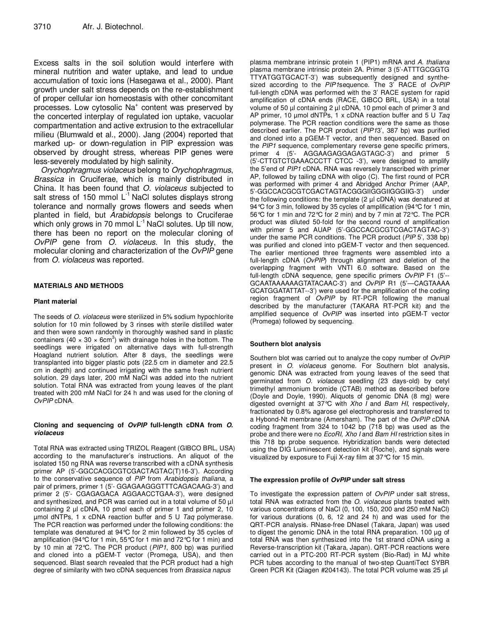Excess salts in the soil solution would interfere with mineral nutrition and water uptake, and lead to undue accumulation of toxic ions (Hasegawa et al., 2000). Plant growth under salt stress depends on the re-establishment of proper cellular ion homeostasis with other concomitant processes. Low cytosolic Na<sup>+</sup> content was preserved by the concerted interplay of regulated ion uptake, vacuolar compartmentation and active extrusion to the extracellular milieu (Blumwald et al., 2000). Jang (2004) reported that marked up- or down-regulation in PIP expression was observed by drought stress, whereas PIP genes were less-severely modulated by high salinity.

Orychophragmus violaceus belong to Orychophragmus, Brassica in Cruciferae, which is mainly distributed in China. It has been found that O. violaceus subjected to salt stress of 150 mmol  $L^{-1}$  NaCl solutes displays strong tolerance and normally grows flowers and seeds when planted in field, but Arabidopsis belongs to Cruciferae which only grows in 70 mmol  $L^{-1}$  NaCl solutes. Up till now, there has been no report on the molecular cloning of OvPIP gene from O. violaceus. In this study, the molecular cloning and characterization of the OvPIP gene from O. violaceus was reported.

## **MATERIALS AND METHODS**

## **Plant material**

The seeds of O. violaceus were sterilized in 5% sodium hypochlorite solution for 10 min followed by 3 rinses with sterile distilled water and then were sown randomly in thoroughly washed sand in plastic containers (40  $\times$  30  $\times$  6cm<sup>3</sup>) with drainage holes in the bottom. The seedlings were irrigated on alternative days with full-strength Hoagland nutrient solution. After 8 days, the seedlings were transplanted into bigger plastic pots (22.5 cm in diameter and 22.5 cm in depth) and continued irrigating with the same fresh nutrient solution. 29 days later, 200 mM NaCl was added into the nutrient solution. Total RNA was extracted from young leaves of the plant treated with 200 mM NaCl for 24 h and was used for the cloning of OvPIP cDNA.

#### **Cloning and sequencing of OvPIP full-length cDNA from O. violaceus**

Total RNA was extracted using TRIZOL Reagent (GIBCO BRL, USA) according to the manufacturer's instructions. An aliquot of the isolated 150 ng RNA was reverse transcribed with a cDNA synthesis primer AP (5'-GGCCACGCGTCGACTAGTAC(T)16-3'). According to the conservative sequence of PIP from Arabidopsis thaliana, a pair of primers, primer 1 (5'- GGAGAAGGGTTTCAGACAAG-3') and primer 2 (5'- CGAGAGACA AGGAACCTGAA-3'), were designed and synthesized, and PCR was carried out in a total volume of 50  $\mu$ l containing 2 µl cDNA, 10 pmol each of primer 1 and primer 2, 10  $µ$ mol dNTPs, 1 x cDNA reaction buffer and 5 U Tag polymerase. The PCR reaction was performed under the following conditions: the template was denatured at 94°C for 2 min followed by 35 cycles of amplification (94°C for 1 min, 55°C for 1 min and 72°C for 1 min) and by 10 min at 72°C. The PCR product (PIP1, 800 bp) was purified and cloned into a pGEM-T vector (Promega, USA), and then sequenced. Blast search revealed that the PCR product had a high degree of similarity with two cDNA sequences from Brassica napus

plasma membrane intrinsic protein 1 (PIP1) mRNA and A. thaliana plasma membrane intrinsic protein 2A. Primer 3 (5'-ATTTGCGGTG TTYATGGTGCACT-3') was subsequently designed and synthesized according to the PIP1sequence. The 3' RACE of OvPIP full-length cDNA was performed with the 3' RACE system for rapid amplification of cDNA ends (RACE, GIBCO BRL, USA) in a total volume of 50 µl containing 2 µl cDNA, 10 pmol each of primer 3 and AP primer, 10  $\mu$ mol dNTPs, 1 x cDNA reaction buffer and 5 U Tag polymerase. The PCR reaction conditions were the same as those described earlier. The PCR product (PIP13', 387 bp) was purified and cloned into a pGEM-T vector, and then sequenced. Based on the PIP1 sequence, complementary reverse gene specific primers, primer 4 (5'- AGGAAGAGGAGAGTAGC-3') and primer 5 (5'-CTTGTCTGAAACCCTT CTCC -3'), were designed to amplify the 5'end of PIP1 cDNA. RNA was reversely transcribed with primer AP, followed by tailing cDNA with oligo (C). The first round of PCR was performed with primer 4 and Abridged Anchor Primer (AAP, 5'-GGCCACGCGTCGACTAGTACGGGIIGGGIIGGGIIG-3') under the following conditions: the template  $(2 \mu)$  cDNA) was denatured at 94°C for 3 min, followed by 35 cycles of amplification (94°C for 1 min, 56°C for 1 min and 72°C for 2 min) and by 7 min at 72°C. The PCR product was diluted 50-fold for the second round of amplification with primer 5 and AUAP (5'-GGCCACGCGTCGACTAGTAC-3') under the same PCR conditions. The PCR product (PIP 5', 338 bp) was purified and cloned into pGEM-T vector and then sequenced. The earlier mentioned three fragments were assembled into a full-length cDNA (OvPIP) through alignment and deletion of the overlapping fragment with VNTI 6.0 software. Based on the full-length cDNA sequence, gene specific primers OvPIP F1 (5'-- GCAATAAAAAAGTATACAAC-3') and OvPIP R1 (5'—CAGTAAAA GCATGGATATTAT--3') were used for the amplification of the coding region fragment of OvPIP by RT-PCR following the manual described by the manufacturer (TAKARA RT-PCR kit) and the amplified sequence of OvPIP was inserted into pGEM-T vector (Promega) followed by sequencing.

## **Southern blot analysis**

Southern blot was carried out to analyze the copy number of OvPIP present in O. violaceus genome. For Southern blot analysis, genomic DNA was extracted from young leaves of the seed that germinated from O. violaceus seedling (23 days-old) by cetyl trimethyl ammonium bromide (CTAB) method as described before (Doyle and Doyle, 1990). Aliquots of genomic DNA (8 mg) were digested overnight at 37°C with Xho I and Bam HI, respectively, fractionated by 0.8% agarose gel electrophoresis and transferred to a Hybond-Nt membrane (Amersham). The part of the OvPIP cDNA coding fragment from 324 to 1042 bp (718 bp) was used as the probe and there were no EcoRI, Xho I and Bam HI restriction sites in this 718 bp probe sequence. Hybridization bands were detected using the DIG Luminescent detection kit (Roche), and signals were visualized by exposure to Fuji X-ray film at 37°C for 15 min.

#### **The expression profile of OvPIP under salt stress**

To investigate the expression pattern of OvPIP under salt stress, total RNA was extracted from the O. violaceus plants treated with various concentrations of NaCl (0, 100, 150, 200 and 250 mM NaCl) for various durations (0, 6, 12 and 24 h) and was used for the QRT-PCR analysis. RNase-free DNaseI (Takara, Japan) was used to digest the genomic DNA in the total RNA preparation. 100 µg of total RNA was then synthesized into the 1st strand cDNA using a Reverse-transcription kit (Takara, Japan). QRT-PCR reactions were carried out in a PTC-200 RT-PCR system (Bio-Rad) in MJ white PCR tubes according to the manual of two-step QuantiTect SYBR Green PCR Kit (Qiagen #204143). The total PCR volume was 25 µl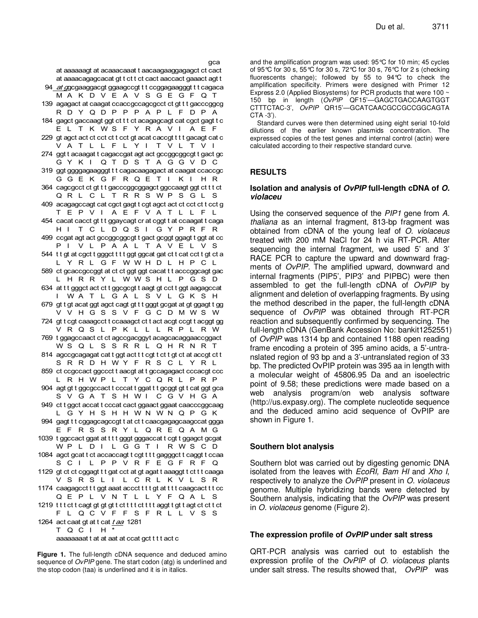gca

at aaaaaaqt at acaaacaaat t aacaaqaaqqaqaqct ct cact at aaaacagagcacat gt t ct t ct cact aaccact gaaact agt t 94 at ggcgaaggacgt ggaagccgt t t ccggagaagggt t t cagaca M A K D V E A V S G E G F Q T 139 agagact at caagat ccaccgccagcgcct ct gt t t gacccggcg R D Y Q D P P P A P L F D P A 184 gaget gaccaagt ggt et t t et acagageagt cat eget gagt t e ELTKWSFYRAVIAEF 229 gt aget act et ect et t ect gt acat cacegt t t t gacagt cat c V A T L L F L Y I T V L T V I 274 ggt t acaagat t cagaccgat agt act gccggcggcgt t gact gc GYKI QTDSTAGGVDC 319 ggt ggggagaagggt t t cagacaagagact at caagat ccaccgc G G E K G F R Q E T I K I H R 364 cagcgcct ct gt t t gacccggcggagct ggccaagt ggt ct t t ct Q R L C L T R R S W P S G L S 409 acagagccagt cat cgct gagt t cgt agct act ct cct ct t cct g T E P V I A E F V A T L L F L 454 cacat cacct gt t t ggaycagt cr at cggt t at ccaagat t caga HITCLDQSIGYPRFR 499 ccgat agt act gccggcggcgt t gact gcggt ggagt t ggt at cc PI V L P A A L T A V E L V S 544 tt gt at cgct t gggct tt t ggt ggcat gat ct t cat cct t gt ct a L Y R L G F W W H D L H P C L 589 ct gcaccgccggt at ct ct ggt ggt cacat t t acccggcagt gac L H R R Y L W W S H L P G S D 634 at t t gggct act ct t ggcgcgt t aagt gt cct t ggt aagagccat I WATL GALSVL GKSH 679 gt t gt acat ggt agct cagt gt t t gggt gcgat at gt ggagt t gg V V H G S S V F G C D M W S W 724 gt t cgt caaagcct t ccaaagct ct t act acgt ccgt t acggt gg V R Q S L P K L L L R P L R W 769 t ggagccaact ct ct agccgacggyt acagcacaggaaccggact WSQLSSRRLQHRNRT 814 agccgcagagat cat t ggt act t t cgt t ct t gt ct at accgt ct t S R R D H W Y F R S C L Y R L 859 ct ccgccact ggccct t aacgt at t gccagagact cccacgt ccc L R H W P L T Y C Q R L P R P 904 agt gt t ggcgccact t cccat t ggat t t gcggt gt t cat ggt gca S V G A T S H W I C G V H G A 949 ct t ggct accat t cccat cact ggaact ggaat caacccggcaag L G Y H S H H W N W N Q P G K 994 gagt t t cggagcagccgt t at ct t caacgagagcaagccat ggga E F R S S R Y L Q R E Q A M G 1039 t ggccact ggat at t t t gggt gggaccat t cgt t ggagct gcgat WPLDILGGTIRWSCD 1084 aget geat t et accaccagt t egt t t t gaggget t caggt t ccaa S C I L P P V R F E G F R F Q 1129 gt ct ct cggagt t t gat cct at gt agat t aaaggt t ct t t caaga VSRSLILCRLKVLSR 1174 caagagcct t t ggt aaat accct t t t gt at t t t caagcact t t cc Q E P L V N T L L Y F Q A L S 1219 ttt ctt cagt gt gt t ctttt ctttt aggt t gtt agt ct cttct F L Q C V F F S F R L L V S S 1264 act caat gt at t cat taa 1281 TQCIH<sup>\*</sup> aaaaaaaat t at at aat at ccat gct t t t act c

Figure 1. The full-length cDNA sequence and deduced amino sequence of OvPIP gene. The start codon (atg) is underlined and the stop codon (taa) is underlined and it is in italics.

and the amplification program was used: 95 °C for 10 min; 45 cycles of 95 °C for 30 s, 55 °C for 30 s, 72 °C for 30 s, 76 °C for 2 s (checking fluorescents change); followed by 55 to 94°C to check the amplification specificity. Primers were designed with Primer 12 Express 2.0 (Applied Biosystems) for PCR products that were 100 ~ 150 bp in length (OvPIP QF15'-GAGCTGACCAAGTGGT CTTTCTAC-3', OvPIP QR15'-GCATCAACGCCGCCGGCAGTA CTA -3').

Standard curves were then determined using eight serial 10-fold dilutions of the earlier known plasmids concentration. The expressed copies of the test genes and internal control (actin) were calculated according to their respective standard curve.

# **RESULTS**

# Isolation and analysis of OvPIP full-length cDNA of O. violaceu

Using the conserved sequence of the PIP1 gene from A. thaliana as an internal fragment, 813-bp fragment was obtained from cDNA of the young leaf of O. violaceus treated with 200 mM NaCl for 24 h via RT-PCR. After sequencing the internal fragment, we used 5' and 3' RACE PCR to capture the upward and downward fragments of OvPIP. The amplified upward, downward and internal fragments (PIP5', PIP3' and PIPBC) were then assembled to get the full-length cDNA of OvPIP by alignment and deletion of overlapping fragments. By using the method described in the paper, the full-length cDNA sequence of OvPIP was obtained through RT-PCR reaction and subsequently confirmed by sequencing. The full-length cDNA (GenBank Accession No: bankit1252551) of OvPIP was 1314 bp and contained 1188 open reading frame encoding a protein of 395 amino acids, a 5'-untranslated region of 93 bp and a 3'-untranslated region of 33 bp. The predicted OvPIP protein was 395 aa in length with a molecular weight of 45806.95 Da and an isoelectric point of 9.58; these predictions were made based on a web analysis program/on web analysis software (http://us.expasy.org). The complete nucleotide sequence and the deduced amino acid sequence of OvPIP are shown in Figure 1.

# Southern blot analysis

Southern blot was carried out by digesting genomic DNA isolated from the leaves with EcoRI, Bam HI and Xho I, respectively to analyze the OvPIP present in O. violaceus genome. Multiple hybridizing bands were detected by Southern analysis, indicating that the OvPIP was present in *O. violaceus* genome (Figure 2).

## The expression profile of OvPIP under salt stress

QRT-PCR analysis was carried out to establish the expression profile of the OvPIP of O. violaceus plants under salt stress. The results showed that, OvPIP was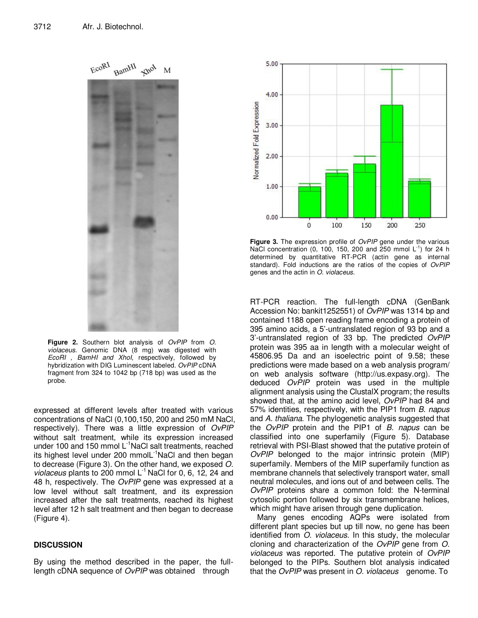EcoRI BamHI Thoy M

**Figure 2.** Southern blot analysis of OvPIP from O. violaceus. Genomic DNA (8 mg) was digested with EcoRI , BamHI and XhoI, respectively, followed by hybridization with DIG Luminescent labeled. OvPIP cDNA fragment from 324 to 1042 bp (718 bp) was used as the probe.

expressed at different levels after treated with various concentrations of NaCl (0,100,150, 200 and 250 mM NaCl, respectively). There was a little expression of OvPIP without salt treatment, while its expression increased under 100 and 150 mmol  $L^{-1}$ NaCl salt treatments, reached its highest level under 200 mmolL<sup>-1</sup>NaCl and then began to decrease (Figure 3). On the other hand, we exposed O. violaceus plants to 200 mmol  $L^{-1}$  NaCl for 0, 6, 12, 24 and 48 h, respectively. The OvPIP gene was expressed at a low level without salt treatment, and its expression increased after the salt treatments, reached its highest level after 12 h salt treatment and then began to decrease (Figure 4).

# **DISCUSSION**

By using the method described in the paper, the fulllength cDNA sequence of OvPIP was obtained through



**Figure 3.** The expression profile of *OvPIP* gene under the various NaCl concentration (0, 100, 150, 200 and 250 mmol  $L^{-1}$ ) for 24 h determined by quantitative RT-PCR (actin gene as internal standard). Fold inductions are the ratios of the copies of OvPIP genes and the actin in O. violaceus.

RT-PCR reaction. The full-length cDNA (GenBank Accession No: bankit1252551) of OvPIP was 1314 bp and contained 1188 open reading frame encoding a protein of 395 amino acids, a 5'-untranslated region of 93 bp and a 3'-untranslated region of 33 bp. The predicted OvPIP protein was 395 aa in length with a molecular weight of 45806.95 Da and an isoelectric point of 9.58; these predictions were made based on a web analysis program/ on web analysis software (http://us.expasy.org). The deduced OvPIP protein was used in the multiple alignment analysis using the ClustalX program; the results showed that, at the amino acid level, OvPIP had 84 and 57% identities, respectively, with the PIP1 from B. napus and A. thaliana. The phylogenetic analysis suggested that the OvPIP protein and the PIP1 of B. napus can be classified into one superfamily (Figure 5). Database retrieval with PSI-Blast showed that the putative protein of OvPIP belonged to the major intrinsic protein (MIP) superfamily. Members of the MIP superfamily function as membrane channels that selectively transport water, small neutral molecules, and ions out of and between cells. The OvPIP proteins share a common fold: the N-terminal cytosolic portion followed by six transmembrane helices, which might have arisen through gene duplication.

Many genes encoding AQPs were isolated from different plant species but up till now, no gene has been identified from *O. violaceus*. In this study, the molecular cloning and characterization of the OvPIP gene from O. violaceus was reported. The putative protein of OvPIP belonged to the PIPs. Southern blot analysis indicated that the OvPIP was present in O. violaceus genome. To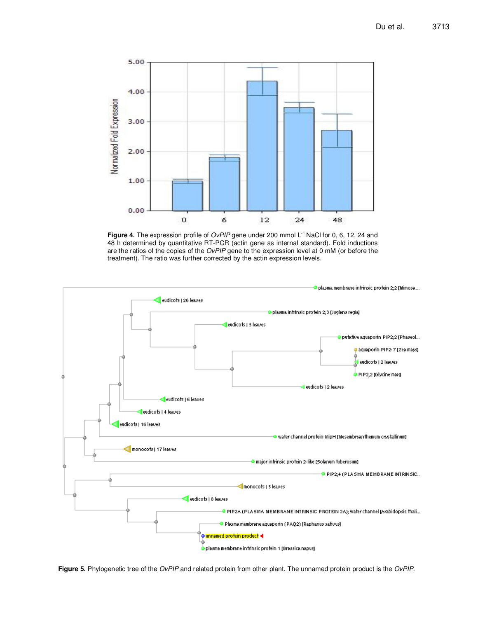

Figure 4. The expression profile of *OvPIP* gene under 200 mmol L<sup>-1</sup> NaCl for 0, 6, 12, 24 and 48 h determined by quantitative RT-PCR (actin gene as internal standard). Fold inductions are the ratios of the copies of the OvPIP gene to the expression level at 0 mM (or before the treatment). The ratio was further corrected by the actin expression levels.



Figure 5. Phylogenetic tree of the OvPIP and related protein from other plant. The unnamed protein product is the OvPIP.